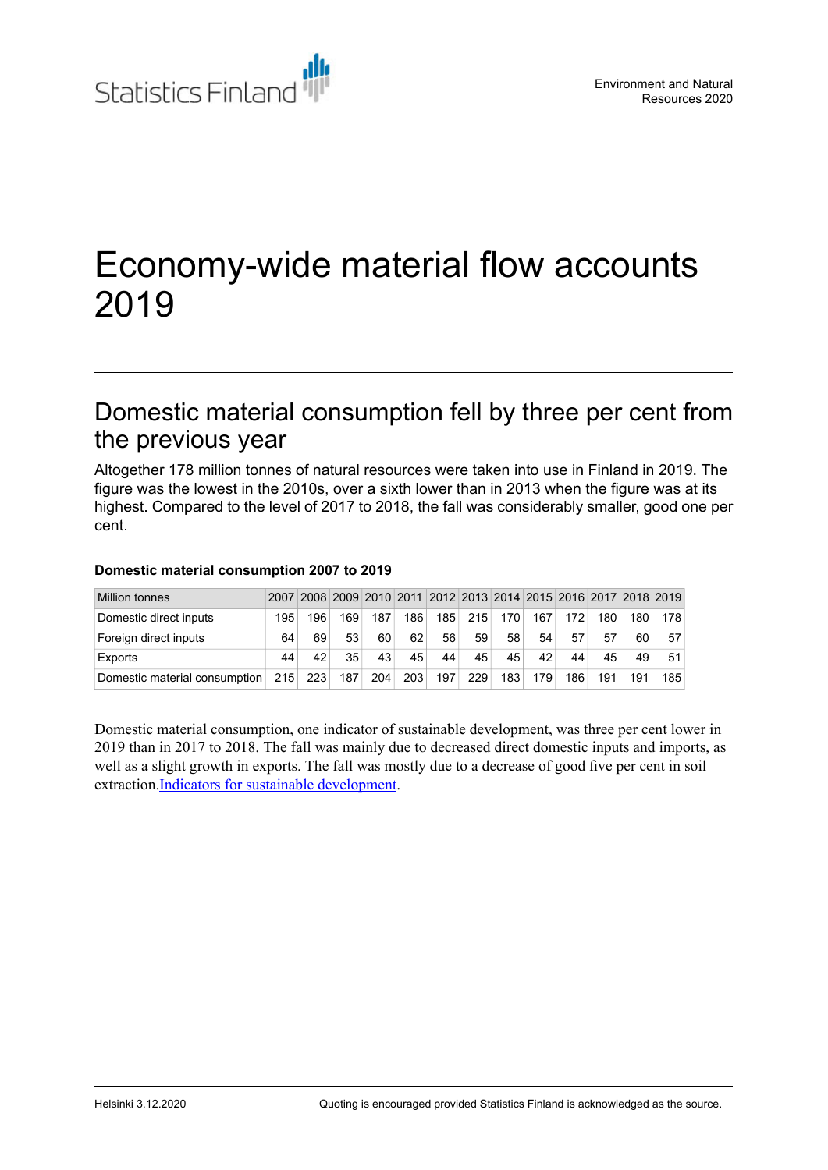

# Economy-wide material flow accounts 2019

# Domestic material consumption fell by three per cent from the previous year

Altogether 178 million tonnes of natural resources were taken into use in Finland in 2019. The figure was the lowest in the 2010s, over a sixth lower than in 2013 when the figure was at its highest. Compared to the level of 2017 to 2018, the fall was considerably smaller, good one per cent.

| <b>Million tonnes</b>         |     |     |     |     |     |     |     |     |     |     |     | 2007 2008 2009 2010 2011 2012 2013 2014 2015 2016 2017 2018 2019 |     |
|-------------------------------|-----|-----|-----|-----|-----|-----|-----|-----|-----|-----|-----|------------------------------------------------------------------|-----|
| Domestic direct inputs        | 195 | 196 | 169 | 187 | 186 | 185 | 215 | 170 | 167 | 172 | 180 | 180⊥                                                             | 178 |
| Foreign direct inputs         | 64  | 69  | 53  | 60  | 62  | 56  | 59  | 58  | 54  | 57  | 57  | 60                                                               | 57  |
| Exports                       | 44  | 42  | 35  | 43  | 45  | 44  | 45  | 45  | 42  | 44  | 45  | 49                                                               | 51  |
| Domestic material consumption | 215 | 223 | 187 | 204 | 203 | 197 | 229 | 183 | 179 | 186 | 191 | 191                                                              | 185 |

#### **Domestic material consumption 2007 to 2019**

Domestic material consumption, one indicator of sustainable development, was three per cent lower in 2019 than in 2017 to 2018. The fall was mainly due to decreased direct domestic inputs and imports, as well as a slight growth in exports. The fall was mostly due to a decrease of good five per cent in soil extraction.Indicators for sustainable [development](https://www.stat.fi/tup/kestavan-kehityksen-yk-indikaattorit-agenda2030.html).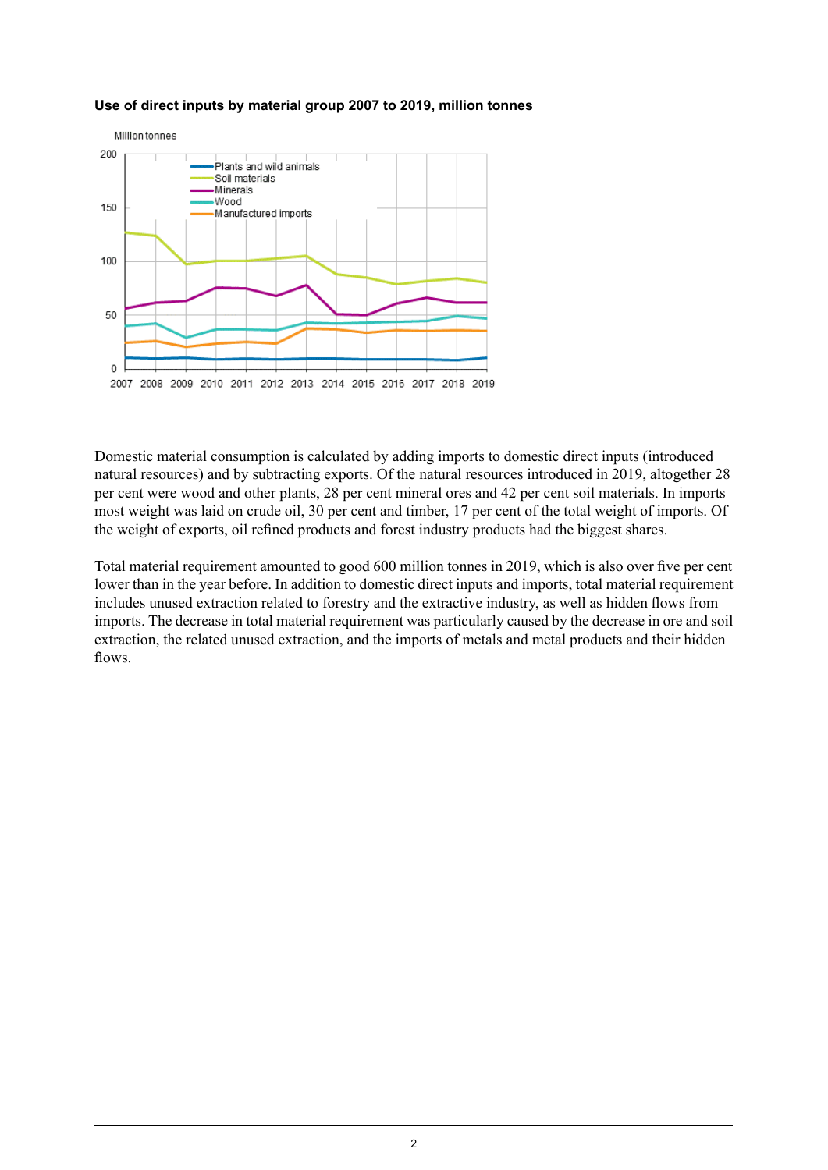

#### **Use of direct inputs by material group 2007 to 2019, million tonnes**

Domestic material consumption is calculated by adding imports to domestic direct inputs (introduced natural resources) and by subtracting exports. Of the natural resources introduced in 2019, altogether 28 per cent were wood and other plants, 28 per cent mineral ores and 42 per cent soil materials. In imports most weight was laid on crude oil, 30 per cent and timber, 17 per cent of the total weight of imports. Of the weight of exports, oil refined products and forest industry products had the biggest shares.

Total material requirement amounted to good 600 million tonnes in 2019, which is also over five per cent lower than in the year before. In addition to domestic direct inputs and imports, total material requirement includes unused extraction related to forestry and the extractive industry, as well as hidden flows from imports. The decrease in total material requirement was particularly caused by the decrease in ore and soil extraction, the related unused extraction, and the imports of metals and metal products and their hidden flows.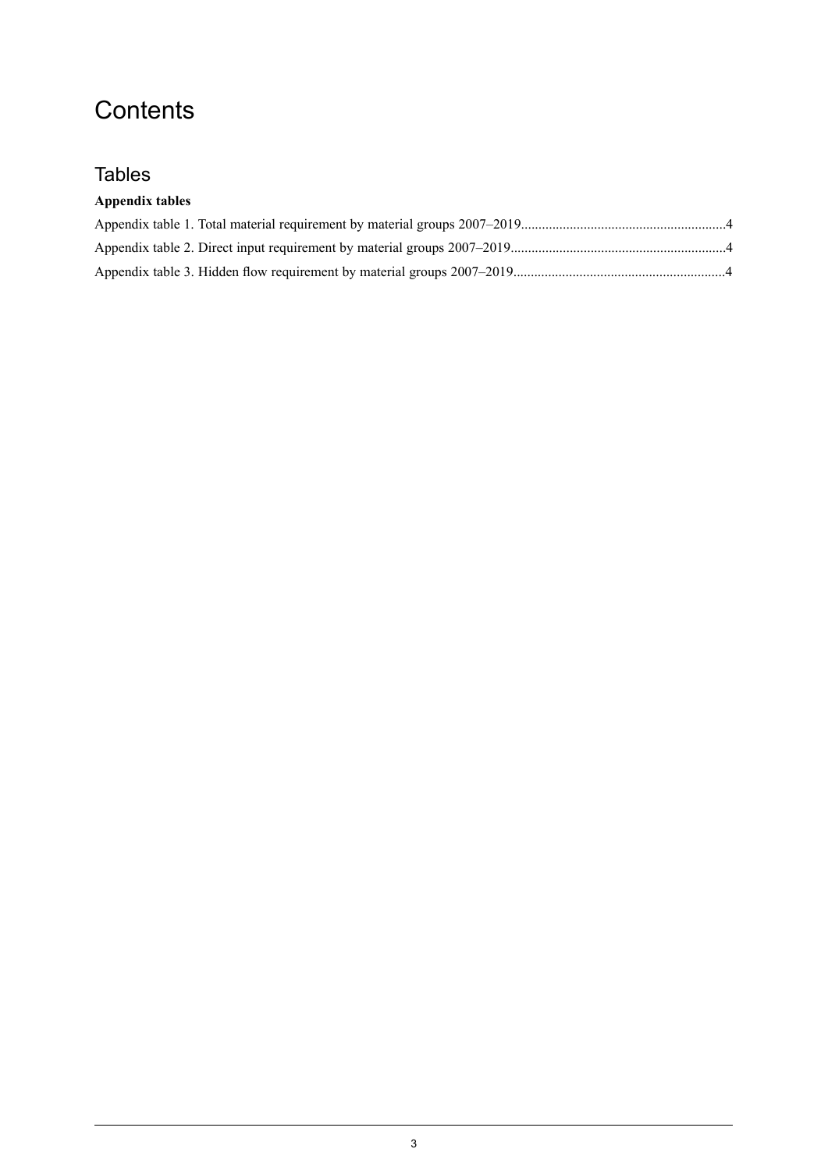# **Contents**

## **Tables**

### **Appendix tables**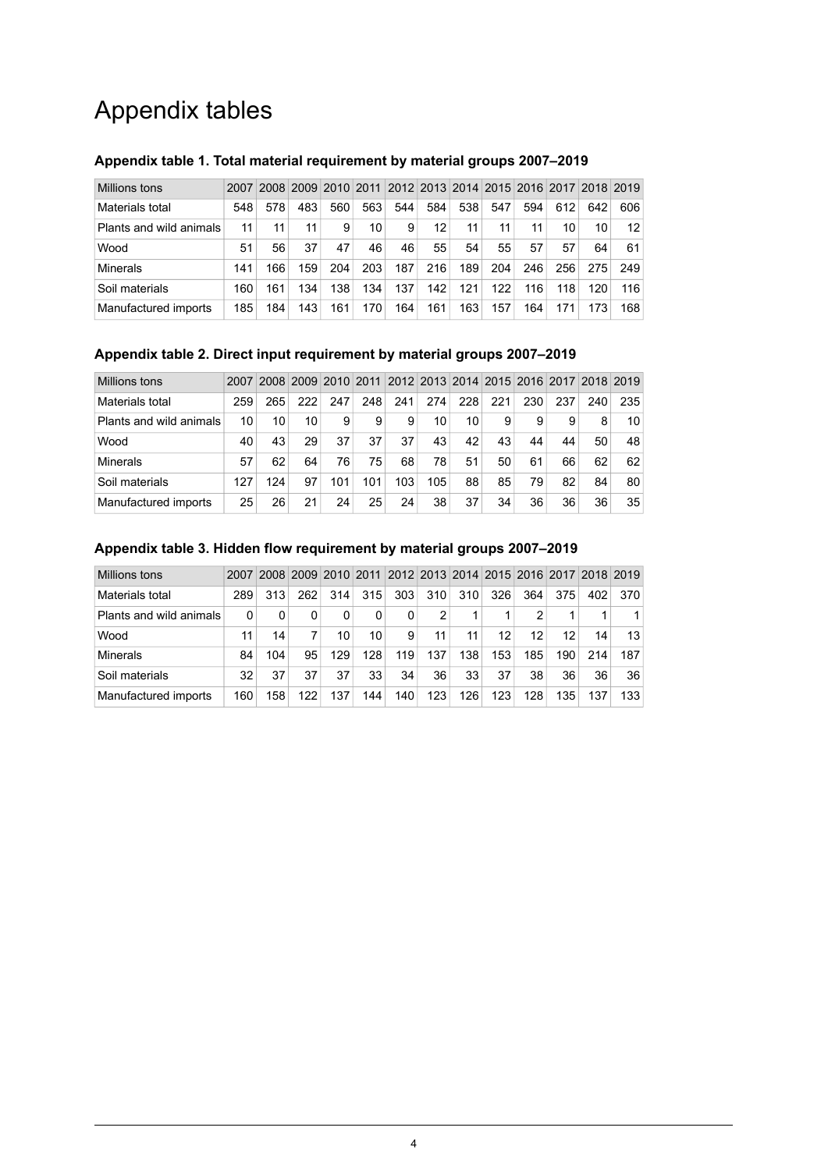# Appendix tables

| Millions tons           | 2007 | 2008 |     |     |     |     |     |     |     |     |     |     | 2009 2010 2011 2012 2013 2014 2015 2016 2017 2018 2019 |
|-------------------------|------|------|-----|-----|-----|-----|-----|-----|-----|-----|-----|-----|--------------------------------------------------------|
| Materials total         | 548  | 578  | 483 | 560 | 563 | 544 | 584 | 538 | 547 | 594 | 612 | 642 | 606                                                    |
| Plants and wild animals | 11   | 11   | 11  | 9   | 10  | 9   | 12  | 11  | 11  | 11  | 10  | 10  | 12                                                     |
| Wood                    | 51   | 56   | 37  | 47  | 46  | 46  | 55  | 54  | 55  | 57  | 57  | 64  | 61                                                     |
| Minerals                | 141  | 166  | 159 | 204 | 203 | 187 | 216 | 189 | 204 | 246 | 256 | 275 | 249                                                    |
| Soil materials          | 160  | 161  | 134 | 138 | 134 | 137 | 142 | 121 | 122 | 116 | 118 | 120 | 116                                                    |
| Manufactured imports    | 185  | 184  | 143 | 161 | 170 | 164 | 161 | 163 | 157 | 164 | 171 | 173 | 168                                                    |

### <span id="page-3-0"></span>**Appendix table 1. Total material requirement by material groups 2007–2019**

### <span id="page-3-1"></span>**Appendix table 2. Direct input requirement by material groups 2007–2019**

| Millions tons           | 2007 | 2008 | 2009 2010 2011 |     |     |     | 2012 2013 2014 2015 2016 2017 2018 2019 |     |     |     |     |     |     |
|-------------------------|------|------|----------------|-----|-----|-----|-----------------------------------------|-----|-----|-----|-----|-----|-----|
| Materials total         | 259  | 265  | 222            | 247 | 248 | 241 | 274                                     | 228 | 221 | 230 | 237 | 240 | 235 |
| Plants and wild animals | 10   | 10   | 10             | 9   | 9   | 9   | 10                                      | 10  | 9   | 9   | 9   | 8   | 10  |
| Wood                    | 40   | 43   | 29             | 37  | 37  | 37  | 43                                      | 42  | 43  | 44  | 44  | 50  | 48  |
| Minerals                | 57   | 62   | 64             | 76  | 75  | 68  | 78                                      | 51  | 50  | 61  | 66  | 62  | 62  |
| Soil materials          | 127  | 124  | 97             | 101 | 101 | 103 | 105                                     | 88  | 85  | 79  | 82  | 84  | 80  |
| Manufactured imports    | 25   | 26   | 21             | 24  | 25  | 24  | 38                                      | 37  | 34  | 36  | 36  | 36  | 35  |

| Millions tons           | 2007 |     |     |     |     |     |     |     |     |     |     |     | 2008 2009 2010 2011 2012 2013 2014 2015 2016 2017 2018 2019 |
|-------------------------|------|-----|-----|-----|-----|-----|-----|-----|-----|-----|-----|-----|-------------------------------------------------------------|
| Materials total         | 289  | 313 | 262 | 314 | 315 | 303 | 310 | 310 | 326 | 364 | 375 | 402 | 370                                                         |
| Plants and wild animals | 0    |     |     | 0   | 0   | 0   | 2   |     |     | 2   |     |     |                                                             |
| Wood                    | 11   | 14  |     | 10  | 10  | 9   | 11  | 11  | 12  | 12  | 12  | 14  | 13                                                          |
| Minerals                | 84   | 104 | 95  | 129 | 128 | 119 | 137 | 138 | 153 | 185 | 190 | 214 | 187                                                         |
| Soil materials          | 32   | 37  | 37  | 37  | 33  | 34  | 36  | 33  | 37  | 38  | 36  | 36  | 36                                                          |
| Manufactured imports    | 160  | 158 | 122 | 137 | 144 | 140 | 123 | 126 | 123 | 128 | 135 | 137 | 133                                                         |

#### <span id="page-3-2"></span>**Appendix table 3. Hidden flow requirement by material groups 2007–2019**